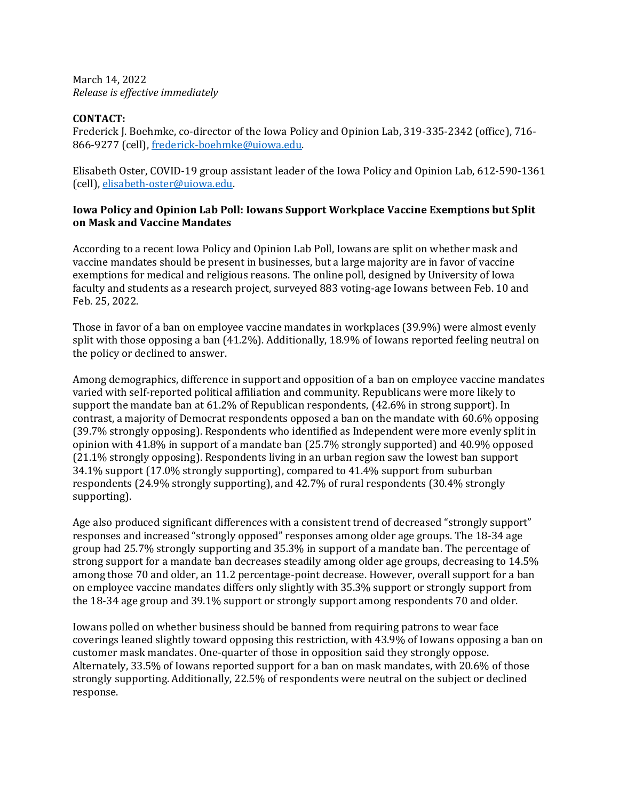March 14, 2022 *Release is effective immediately*

## **CONTACT:**

Frederick J. Boehmke, co-director of the Iowa Policy and Opinion Lab, 319-335-2342 (office), 716- 866-9277 (cell), [frederick-boehmke@uiowa.edu.](mailto:frederick-boehmke@uiowa.edu)

Elisabeth Oster, COVID-19 group assistant leader of the Iowa Policy and Opinion Lab, 612-590-1361 (cell), [elisabeth-oster@uiowa.edu.](mailto:elisabeth-oster@uiowa.edu)

## **Iowa Policy and Opinion Lab Poll: Iowans Support Workplace Vaccine Exemptions but Split on Mask and Vaccine Mandates**

According to a recent Iowa Policy and Opinion Lab Poll, Iowans are split on whether mask and vaccine mandates should be present in businesses, but a large majority are in favor of vaccine exemptions for medical and religious reasons. The online poll, designed by University of Iowa faculty and students as a research project, surveyed 883 voting-age Iowans between Feb. 10 and Feb. 25, 2022.

Those in favor of a ban on employee vaccine mandates in workplaces (39.9%) were almost evenly split with those opposing a ban (41.2%). Additionally, 18.9% of Iowans reported feeling neutral on the policy or declined to answer.

Among demographics, difference in support and opposition of a ban on employee vaccine mandates varied with self-reported political affiliation and community. Republicans were more likely to support the mandate ban at 61.2% of Republican respondents, (42.6% in strong support). In contrast, a majority of Democrat respondents opposed a ban on the mandate with 60.6% opposing (39.7% strongly opposing). Respondents who identified as Independent were more evenly split in opinion with 41.8% in support of a mandate ban (25.7% strongly supported) and 40.9% opposed (21.1% strongly opposing). Respondents living in an urban region saw the lowest ban support 34.1% support (17.0% strongly supporting), compared to 41.4% support from suburban respondents (24.9% strongly supporting), and 42.7% of rural respondents (30.4% strongly supporting).

Age also produced significant differences with a consistent trend of decreased "strongly support" responses and increased "strongly opposed" responses among older age groups. The 18-34 age group had 25.7% strongly supporting and 35.3% in support of a mandate ban. The percentage of strong support for a mandate ban decreases steadily among older age groups, decreasing to 14.5% among those 70 and older, an 11.2 percentage-point decrease. However, overall support for a ban on employee vaccine mandates differs only slightly with 35.3% support or strongly support from the 18-34 age group and 39.1% support or strongly support among respondents 70 and older.

Iowans polled on whether business should be banned from requiring patrons to wear face coverings leaned slightly toward opposing this restriction, with 43.9% of Iowans opposing a ban on customer mask mandates. One-quarter of those in opposition said they strongly oppose. Alternately, 33.5% of Iowans reported support for a ban on mask mandates, with 20.6% of those strongly supporting. Additionally, 22.5% of respondents were neutral on the subject or declined response.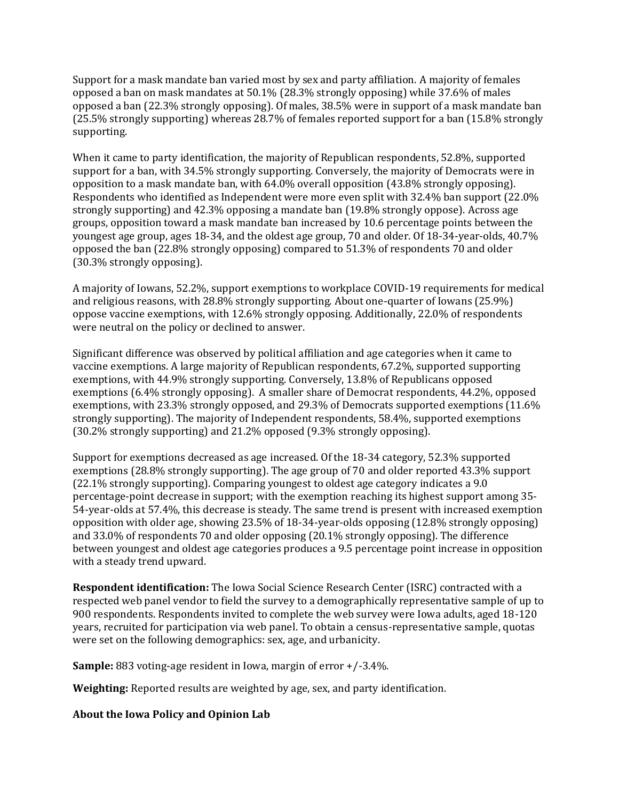Support for a mask mandate ban varied most by sex and party affiliation. A majority of females opposed a ban on mask mandates at 50.1% (28.3% strongly opposing) while 37.6% of males opposed a ban (22.3% strongly opposing). Of males, 38.5% were in support of a mask mandate ban (25.5% strongly supporting) whereas 28.7% of females reported support for a ban (15.8% strongly supporting.

When it came to party identification, the majority of Republican respondents, 52.8%, supported support for a ban, with 34.5% strongly supporting. Conversely, the majority of Democrats were in opposition to a mask mandate ban, with 64.0% overall opposition (43.8% strongly opposing). Respondents who identified as Independent were more even split with 32.4% ban support (22.0% strongly supporting) and 42.3% opposing a mandate ban (19.8% strongly oppose). Across age groups, opposition toward a mask mandate ban increased by 10.6 percentage points between the youngest age group, ages 18-34, and the oldest age group, 70 and older. Of 18-34-year-olds, 40.7% opposed the ban (22.8% strongly opposing) compared to 51.3% of respondents 70 and older (30.3% strongly opposing).

A majority of Iowans, 52.2%, support exemptions to workplace COVID-19 requirements for medical and religious reasons, with 28.8% strongly supporting. About one-quarter of Iowans (25.9%) oppose vaccine exemptions, with 12.6% strongly opposing. Additionally, 22.0% of respondents were neutral on the policy or declined to answer.

Significant difference was observed by political affiliation and age categories when it came to vaccine exemptions. A large majority of Republican respondents, 67.2%, supported supporting exemptions, with 44.9% strongly supporting. Conversely, 13.8% of Republicans opposed exemptions (6.4% strongly opposing). A smaller share of Democrat respondents, 44.2%, opposed exemptions, with 23.3% strongly opposed, and 29.3% of Democrats supported exemptions (11.6% strongly supporting). The majority of Independent respondents, 58.4%, supported exemptions (30.2% strongly supporting) and 21.2% opposed (9.3% strongly opposing).

Support for exemptions decreased as age increased. Of the 18-34 category, 52.3% supported exemptions (28.8% strongly supporting). The age group of 70 and older reported 43.3% support (22.1% strongly supporting). Comparing youngest to oldest age category indicates a 9.0 percentage-point decrease in support; with the exemption reaching its highest support among 35- 54-year-olds at 57.4%, this decrease is steady. The same trend is present with increased exemption opposition with older age, showing 23.5% of 18-34-year-olds opposing (12.8% strongly opposing) and 33.0% of respondents 70 and older opposing (20.1% strongly opposing). The difference between youngest and oldest age categories produces a 9.5 percentage point increase in opposition with a steady trend upward.

**Respondent identification:** The Iowa Social Science Research Center (ISRC) contracted with a respected web panel vendor to field the survey to a demographically representative sample of up to 900 respondents. Respondents invited to complete the web survey were Iowa adults, aged 18-120 years, recruited for participation via web panel. To obtain a census-representative sample, quotas were set on the following demographics: sex, age, and urbanicity.

**Sample:** 883 voting-age resident in Iowa, margin of error +/-3.4%.

**Weighting:** Reported results are weighted by age, sex, and party identification.

**About the Iowa Policy and Opinion Lab**